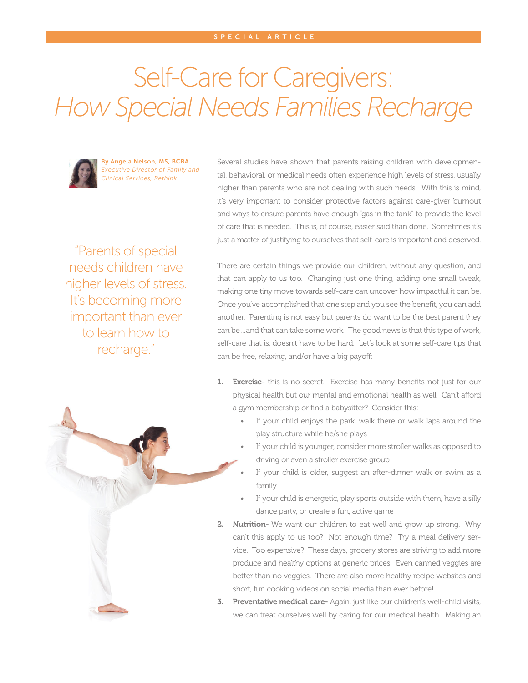## Self-Care for Caregivers: *How Special Needs Families Recharge*



By Angela Nelson, MS, BCBA *Executive Director of Family and Clinical Services, Rethink*

Several studies have shown that parents raising children with developmental, behavioral, or medical needs often experience high levels of stress, usually higher than parents who are not dealing with such needs. With this is mind, it's very important to consider protective factors against care-giver burnout and ways to ensure parents have enough "gas in the tank" to provide the level of care that is needed. This is, of course, easier said than done. Sometimes it's just a matter of justifying to ourselves that self-care is important and deserved.

"Parents of special needs children have higher levels of stress. It's becoming more important than ever to learn how to recharge."

There are certain things we provide our children, without any question, and that can apply to us too. Changing just one thing, adding one small tweak, making one tiny move towards self-care can uncover how impactful it can be. Once you've accomplished that one step and you see the benefit, you can add another. Parenting is not easy but parents do want to be the best parent they can be…and that can take some work. The good news is that this type of work, self-care that is, doesn't have to be hard. Let's look at some self-care tips that can be free, relaxing, and/or have a big payoff:

- 1. Exercise- this is no secret. Exercise has many benefits not just for our physical health but our mental and emotional health as well. Can't afford a gym membership or find a babysitter? Consider this:
	- If your child enjoys the park, walk there or walk laps around the play structure while he/she plays
	- If your child is younger, consider more stroller walks as opposed to driving or even a stroller exercise group
	- If your child is older, suggest an after-dinner walk or swim as a family
	- If your child is energetic, play sports outside with them, have a silly dance party, or create a fun, active game
- 2. Nutrition- We want our children to eat well and grow up strong. Why can't this apply to us too? Not enough time? Try a meal delivery service. Too expensive? These days, grocery stores are striving to add more produce and healthy options at generic prices. Even canned veggies are better than no veggies. There are also more healthy recipe websites and short, fun cooking videos on social media than ever before!
- **3.** Preventative medical care- Again, just like our children's well-child visits, we can treat ourselves well by caring for our medical health. Making an